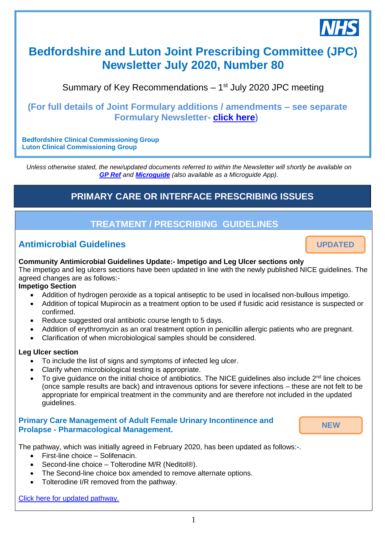

# **Bedfordshire and Luton Joint Prescribing Committee (JPC) Newsletter July 2020, Number 80**

Summary of Key Recommendations - 1<sup>st</sup> July 2020 JPC meeting

### **(For full details of Joint Formulary additions / amendments – see separate Formulary Newsletter- [click here\)](https://www.gpref.bedfordshire.nhs.uk/media/245632/formularynewsletterjuly2020.pdf)**

**Bedfordshire Clinical Commissioning Group Luton Clinical Commissioning Group**

*Unless otherwise stated, the new/updated documents referred to within the Newsletter will shortly be available on [GP Ref](http://www.gpref.bedfordshire.nhs.uk/referrals/bedfordshire-and-luton-joint-prescribing-committee-(jpc).aspx) and [Microguide](https://cms.horizonsp.co.uk/viewer/bedsccg/clinicalguidelines) (also available as a Microguide App).*

# **PRIMARY CARE OR INTERFACE PRESCRIBING ISSUES**

#### **TREATMENT / PRESCRIBING GUIDELINES** *28th November 2018*

# **Antimicrobial Guidelines**

**Community Antimicrobial Guidelines Update:- Impetigo and Leg Ulcer sections only**

The impetigo and leg ulcers sections have been updated in line with the newly published NICE guidelines. The agreed changes are as follows:-

#### **Impetigo Section**

- Addition of hydrogen peroxide as a topical antiseptic to be used in localised non-bullous impetigo.
- Addition of topical Mupirocin as a treatment option to be used if fusidic acid resistance is suspected or confirmed.
- Reduce suggested oral antibiotic course length to 5 days.
- Addition of erythromycin as an oral treatment option in penicillin allergic patients who are pregnant.
- Clarification of when microbiological samples should be considered.

#### **Leg Ulcer section**

- To include the list of signs and symptoms of infected leg ulcer.
- Clarify when microbiological testing is appropriate.
- To give guidance on the initial choice of antibiotics. The NICE guidelines also include 2<sup>nd</sup> line choices (once sample results are back) and intravenous options for severe infections – these are not felt to be appropriate for empirical treatment in the community and are therefore not included in the updated guidelines.

#### **Primary Care Management of Adult Female Urinary Incontinence and Prolapse - Pharmacological Management.**

**NEW**

**UPDATED**

The pathway, which was initially agreed in February 2020, has been updated as follows:-.

- First-line choice Solifenacin.
- Second-line choice Tolterodine M/R (Neditol®).
- The Second-line choice box amended to remove alternate options.
- Tolterodine I/R removed from the pathway.

[Click here for updated pathway.](https://www.gpref.bedfordshire.nhs.uk/media/245145/primarycaremanagementadultfemaleurinaryincontinenceprolapse_4_2.pdf)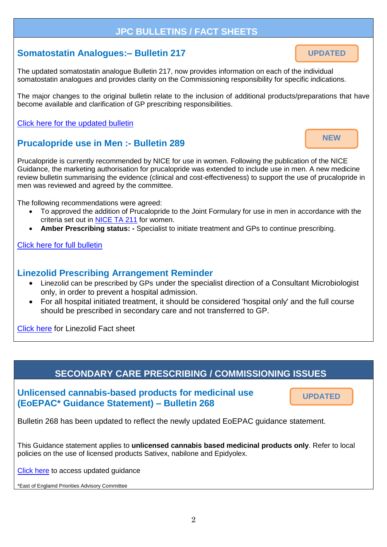### **JPC BULLETINS / FACT SHEETS**

## **Somatostatin Analogues:– Bulletin 217**

The updated somatostatin analogue Bulletin 217, now provides information on each of the individual somatostatin analogues and provides clarity on the Commissioning responsibility for specific indications.

The major changes to the original bulletin relate to the inclusion of additional products/preparations that have become available and clarification of GP prescribing responsibilities.

[Click here for the updated bulletin](https://www.gpref.bedfordshire.nhs.uk/media/245488/somatostatinanaloguesbulletin217.pdf)

# **Prucalopride use in Men :- Bulletin 289**

Prucalopride is currently recommended by NICE for use in women. Following the publication of the NICE Guidance, the marketing authorisation for prucalopride was extended to include use in men. A new medicine review bulletin summarising the evidence (clinical and cost-effectiveness) to support the use of prucalopride in men was reviewed and agreed by the committee.

The following recommendations were agreed:

- To approved the addition of Prucalopride to the Joint Formulary for use in men in accordance with the criteria set out in [NICE TA 211](https://www.nice.org.uk/guidance/ta211) for women.
- **Amber Prescribing status: -** Specialist to initiate treatment and GPs to continue prescribing.

[Click here for full bulletin](https://www.gpref.bedfordshire.nhs.uk/media/245917/prucalopridebulletin289.pdf)

### **Linezolid Prescribing Arrangement Reminder**

- Linezolid can be prescribed by GPs under the specialist direction of a Consultant Microbiologist only, in order to prevent a hospital admission.
- For all hospital initiated treatment, it should be considered 'hospital only' and the full course should be prescribed in secondary care and not transferred to GP.

[Click here](https://www.gpref.bedfordshire.nhs.uk/media/231647/linezolidfactsheet.pdf) for Linezolid Fact sheet

### **SECONDARY CARE PRESCRIBING / COMMISSIONING ISSUES**

**Unlicensed cannabis-based products for medicinal use (EoEPAC\* Guidance Statement) – Bulletin 268**

**UPDATED**

Bulletin 268 has been updated to reflect the newly updated EoEPAC guidance statement.

This Guidance statement applies to **unlicensed cannabis based medicinal products only**. Refer to local policies on the use of licensed products Sativex, nabilone and Epidyolex.

[Click here](https://www.gpref.bedfordshire.nhs.uk/media/241536/jpc_statementoncannabisproductsformedicinaluse_v3.pdf) to access updated guidance

\*East of Englamd Priorities Advisory Committee

**UPDATED**

**NEW**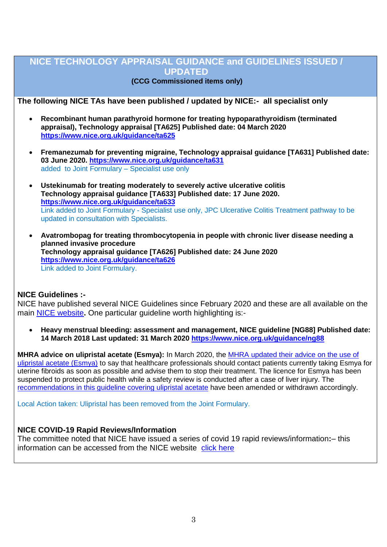### **NICE TECHNOLOGY APPRAISAL GUIDANCE and GUIDELINES ISSUED / UPDATED**

### **(CCG Commissioned items only)**

#### **The following NICE TAs have been published / updated by NICE:- all specialist only**

- **Recombinant human parathyroid hormone for treating hypoparathyroidism (terminated appraisal), Technology appraisal [TA625] Published date: 04 March 2020 <https://www.nice.org.uk/guidance/ta625>**
- **Fremanezumab for preventing migraine, Technology appraisal guidance [TA631] Published date: 03 June 2020.<https://www.nice.org.uk/guidance/ta631>** added to Joint Formulary – Specialist use only
- **Ustekinumab for treating moderately to severely active ulcerative colitis Technology appraisal guidance [TA633] Published date: 17 June 2020. <https://www.nice.org.uk/guidance/ta633>** Link added to Joint Formulary - Specialist use only, JPC Ulcerative Colitis Treatment pathway to be updated in consultation with Specialists.
- **Avatrombopag for treating thrombocytopenia in people with chronic liver disease needing a planned invasive procedure Technology appraisal guidance [TA626] Published date: 24 June 2020 <https://www.nice.org.uk/guidance/ta626>** Link added to Joint Formulary.

#### **NICE Guidelines :-**

NICE have published several NICE Guidelines since February 2020 and these are all available on the main [NICE website](https://www.nice.org.uk/)**.** One particular guideline worth highlighting is:-

 **Heavy menstrual bleeding: assessment and management, NICE guideline [NG88] Published date: 14 March 2018 Last updated: 31 March 2020<https://www.nice.org.uk/guidance/ng88>**

**MHRA advice on ulipristal acetate (Esmya):** In March 2020, the [MHRA updated their advice on the use of](https://www.gov.uk/drug-safety-update/esmya-ulipristal-acetate-suspension-of-the-licence-due-to-risk-of-serious-liver-injury)  [ulipristal acetate \(Esmya\)](https://www.gov.uk/drug-safety-update/esmya-ulipristal-acetate-suspension-of-the-licence-due-to-risk-of-serious-liver-injury) to say that healthcare professionals should contact patients currently taking Esmya for uterine fibroids as soon as possible and advise them to stop their treatment. The licence for Esmya has been suspended to protect public health while a safety review is conducted after a case of liver injury. The recommendations in this quideline covering ulipristal acetate have been amended or withdrawn accordingly.

Local Action taken: Ulipristal has been removed from the Joint Formulary.

#### **NICE COVID-19 Rapid Reviews/Information**

The committee noted that NICE have issued a series of covid 19 rapid reviews/information**:**– this information can be accessed from the NICE website [click here](https://www.nice.org.uk/covid-19)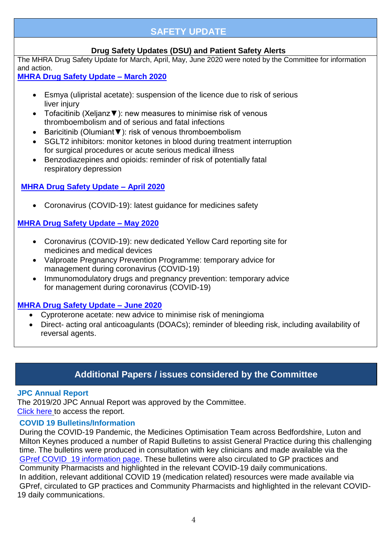# **SAFETY UPDATE**

### **Drug Safety Updates (DSU) and Patient Safety Alerts**

The MHRA Drug Safety Update for March, April, May, June 2020 were noted by the Committee for information and action.

### **[MHRA Drug Safety Update –](https://assets.publishing.service.gov.uk/government/uploads/system/uploads/attachment_data/file/873524/March-2020-PDF.pdf) March 2020**

- Esmya (ulipristal acetate): suspension of the licence due to risk of serious liver injury
- Tofacitinib (Xeljanz▼): new measures to minimise risk of venous thromboembolism and of serious and fatal infections
- Baricitinib (Olumiant▼): risk of venous thromboembolism
- SGLT2 inhibitors: monitor ketones in blood during treatment interruption for surgical procedures or acute serious medical illness
- Benzodiazepines and opioids: reminder of risk of potentially fatal respiratory depression

### **[MHRA Drug Safety Update –](https://assets.publishing.service.gov.uk/government/uploads/system/uploads/attachment_data/file/881559/April-2020-DSU-PDF.pdf) April 2020**

Coronavirus (COVID-19): latest guidance for medicines safety

### **[MHRA Drug Safety Update –](https://assets.publishing.service.gov.uk/government/uploads/system/uploads/attachment_data/file/886750/May-2020-DSU.pdf) May 2020**

- Coronavirus (COVID-19): new dedicated Yellow Card reporting site for medicines and medical devices
- Valproate Pregnancy Prevention Programme: temporary advice for management during coronavirus (COVID-19)
- Immunomodulatory drugs and pregnancy prevention: temporary advice for management during coronavirus (COVID-19)

#### **[MHRA Drug Safety Update –](https://assets.publishing.service.gov.uk/government/uploads/system/uploads/attachment_data/file/896274/June-2020-DSU-PDF.pdf) June 2020**

- Cyproterone acetate: new advice to minimise risk of meningioma
- Direct- acting oral anticoagulants (DOACs); reminder of bleeding risk, including availability of reversal agents.

# **Additional Papers / issues considered by the Committee**

#### **JPC Annual Report**

The 2019/20 JPC Annual Report was approved by the Committee. [Click here](https://www.gpref.bedfordshire.nhs.uk/media/245482/bedslutonjpc_annualreport2019_2020_final.pdf) to access the report.

### **COVID 19 Bulletins/Information**

During the COVID-19 Pandemic, the Medicines Optimisation Team across Bedfordshire, Luton and Milton Keynes produced a number of Rapid Bulletins to assist General Practice during this challenging time. The bulletins were produced in consultation with key clinicians and made available via the [GPref COVID 19 information page.](https://www.gpref.bedfordshire.nhs.uk/referrals/covid-19-information.aspx) These bulletins were also circulated to GP practices and Community Pharmacists and highlighted in the relevant COVID-19 daily communications. In addition, relevant additional COVID 19 (medication related) resources were made available via GPref, circulated to GP practices and Community Pharmacists and highlighted in the relevant COVID-19 daily communications.